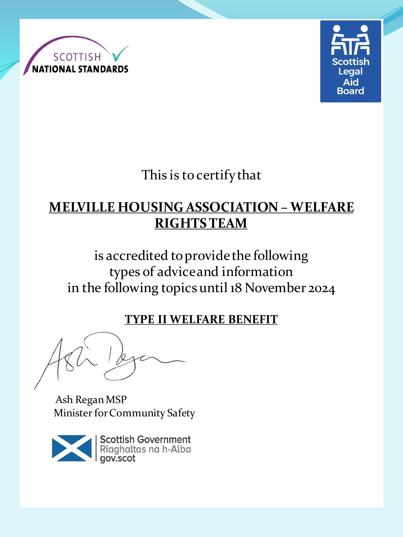



This is to certify that

# **MELVILLE HOUSING ASSOCIATION – WELFARE RIGHTS TEAM**

is accredited to provide the following types of advice and information in the following topics until 18 November 2024

#### **TYPE II WELFARE BENEFIT**

Ash Regan MSP Minister for Community Safety



Scottish Government<br>Riaghaltas na h-Alba<br>I gov.scot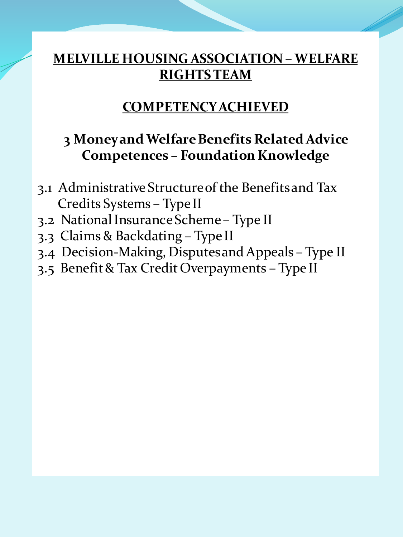# **MELVILLE HOUSING ASSOCIATION – WELFARE RIGHTS TEAM**

#### **COMPETENCY ACHIEVED**

### **3 Money and Welfare Benefits Related Advice Competences – Foundation Knowledge**

- 3.1 Administrative Structure of the Benefits and Tax Credits Systems – Type II
- 3.2 National Insurance Scheme Type II
- 3.3 Claims & Backdating Type II
- 3.4 Decision-Making, Disputes and Appeals Type II
- 3.5 Benefit & Tax Credit Overpayments Type II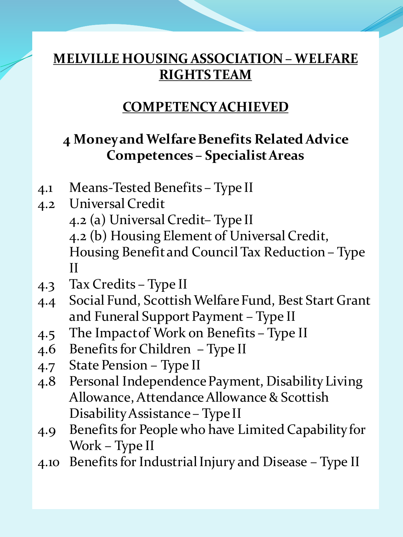# **MELVILLE HOUSING ASSOCIATION – WELFARE RIGHTS TEAM**

#### **COMPETENCY ACHIEVED**

## **4 Money and Welfare Benefits Related Advice Competences – Specialist Areas**

- 4.1 Means-Tested Benefits Type II
- 4.2 Universal Credit 4.2 (a) Universal Credit– Type II 4.2 (b) Housing Element of Universal Credit, Housing Benefit and Council Tax Reduction – Type II
- 4.3 Tax Credits Type II
- 4.4 Social Fund, Scottish Welfare Fund, Best Start Grant and Funeral Support Payment – Type II
- 4.5 The Impact of Work on Benefits Type II
- 4.6 Benefits for Children Type II
- 4.7 State Pension Type II
- 4.8 Personal Independence Payment, Disability Living Allowance, Attendance Allowance & Scottish Disability Assistance – Type II
- 4.9 Benefits for People who have Limited Capability for Work – Type II
- 4.10 Benefits for Industrial Injury and Disease Type II